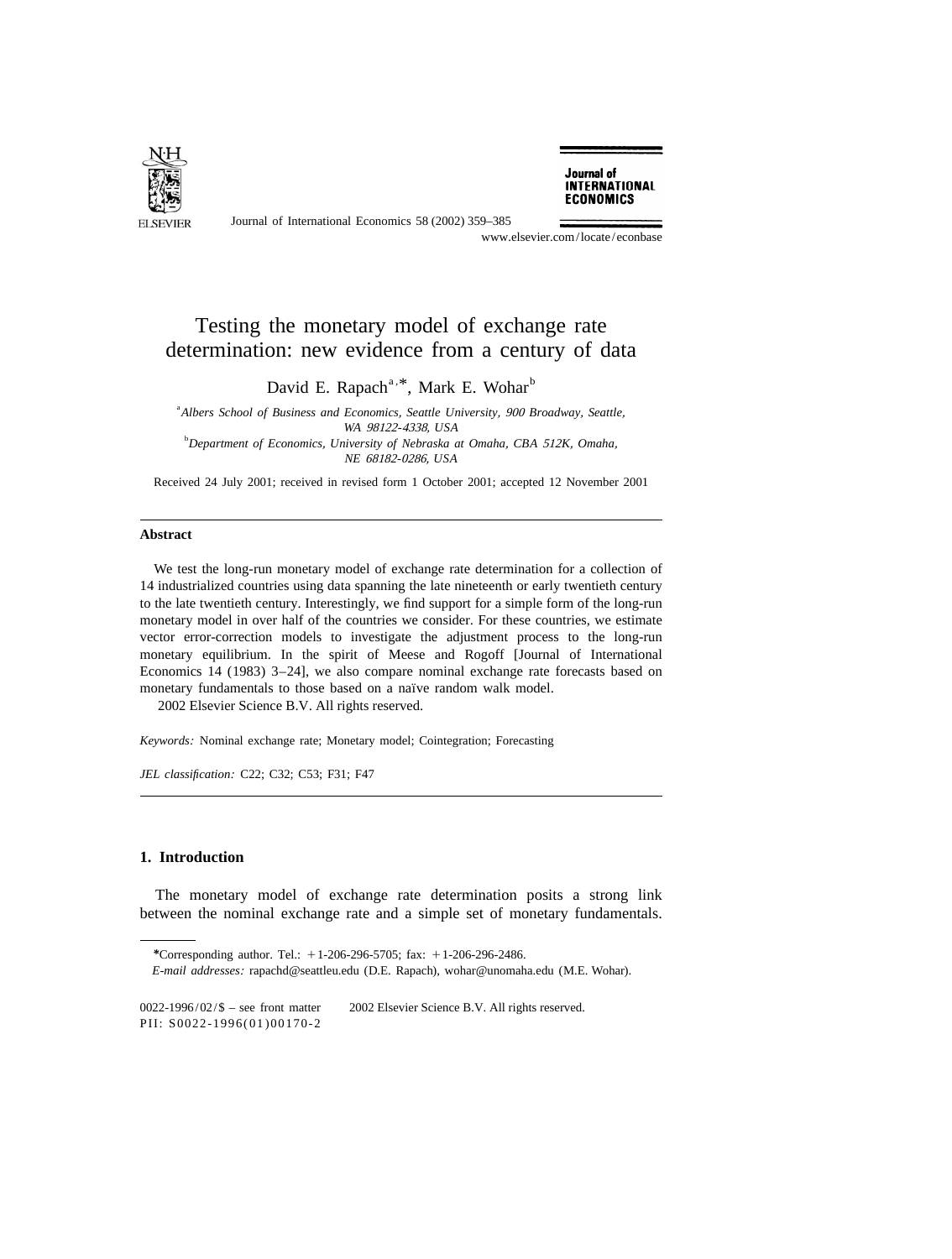

Journal of International Economics 58 (2002) 359–385

Journal of **INTERNATIONAL ECONOMICS** 

www.elsevier.com/locate/econbase

## Testing the monetary model of exchange rate determination: new evidence from a century of data

David E. Rapach<sup>a, \*</sup>, Mark E. Wohar<sup>b</sup>

a *Albers School of Business and Economics*, *Seattle University*, <sup>900</sup> *Broadway*, *Seattle*, *WA* <sup>98122</sup>-4338, *USA* b *Department of Economics*, *University of Nebraska at Omaha*, *CBA* <sup>512</sup>*K*, *Omaha*, *NE* <sup>68182</sup>-0286, *USA*

Received 24 July 2001; received in revised form 1 October 2001; accepted 12 November 2001

## **Abstract**

We test the long-run monetary model of exchange rate determination for a collection of 14 industrialized countries using data spanning the late nineteenth or early twentieth century to the late twentieth century. Interestingly, we find support for a simple form of the long-run monetary model in over half of the countries we consider. For these countries, we estimate vector error-correction models to investigate the adjustment process to the long-run monetary equilibrium. In the spirit of Meese and Rogoff [Journal of International Economics 14 (1983) 3–24], we also compare nominal exchange rate forecasts based on monetary fundamentals to those based on a naïve random walk model. 2002 Elsevier Science B.V. All rights reserved.

*Keywords*: Nominal exchange rate; Monetary model; Cointegration; Forecasting

*JEL classification*: C22; C32; C53; F31; F47

## **1. Introduction**

The monetary model of exchange rate determination posits a strong link between the nominal exchange rate and a simple set of monetary fundamentals.

*<sup>\*</sup>*Corresponding author. Tel.: 11-206-296-5705; fax: 11-206-296-2486.

*E*-*mail addresses*: rapachd@seattleu.edu (D.E. Rapach), wohar@unomaha.edu (M.E. Wohar).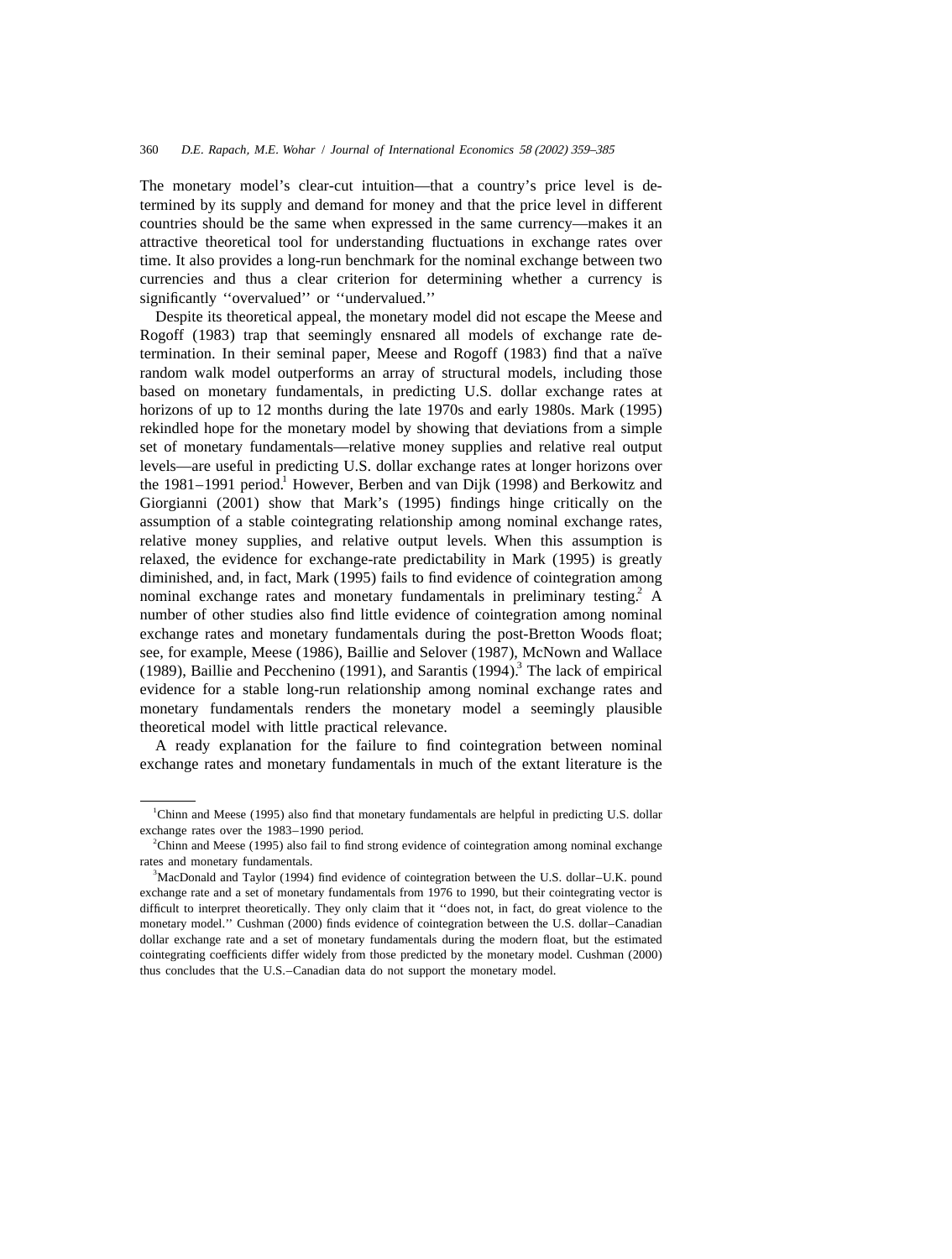The monetary model's clear-cut intuition—that a country's price level is determined by its supply and demand for money and that the price level in different countries should be the same when expressed in the same currency—makes it an attractive theoretical tool for understanding fluctuations in exchange rates over time. It also provides a long-run benchmark for the nominal exchange between two currencies and thus a clear criterion for determining whether a currency is significantly ''overvalued'' or ''undervalued.''

Despite its theoretical appeal, the monetary model did not escape the Meese and Rogoff (1983) trap that seemingly ensnared all models of exchange rate determination. In their seminal paper, Meese and Rogoff (1983) find that a naïve random walk model outperforms an array of structural models, including those based on monetary fundamentals, in predicting U.S. dollar exchange rates at horizons of up to 12 months during the late 1970s and early 1980s. Mark (1995) rekindled hope for the monetary model by showing that deviations from a simple set of monetary fundamentals—relative money supplies and relative real output levels—are useful in predicting U.S. dollar exchange rates at longer horizons over the 1981–1991 period.<sup>1</sup> However, Berben and van Dijk (1998) and Berkowitz and Giorgianni (2001) show that Mark's (1995) findings hinge critically on the assumption of a stable cointegrating relationship among nominal exchange rates, relative money supplies, and relative output levels. When this assumption is relaxed, the evidence for exchange-rate predictability in Mark (1995) is greatly diminished, and, in fact, Mark (1995) fails to find evidence of cointegration among nominal exchange rates and monetary fundamentals in preliminary testing.  $\overline{A}$ number of other studies also find little evidence of cointegration among nominal exchange rates and monetary fundamentals during the post-Bretton Woods float; see, for example, Meese (1986), Baillie and Selover (1987), McNown and Wallace (1989), Baillie and Pecchenino (1991), and Sarantis (1994). The lack of empirical evidence for a stable long-run relationship among nominal exchange rates and monetary fundamentals renders the monetary model a seemingly plausible theoretical model with little practical relevance.

A ready explanation for the failure to find cointegration between nominal exchange rates and monetary fundamentals in much of the extant literature is the

<sup>&</sup>lt;sup>1</sup>Chinn and Meese (1995) also find that monetary fundamentals are helpful in predicting U.S. dollar exchange rates over the 1983–1990 period.

 $2$ Chinn and Meese (1995) also fail to find strong evidence of cointegration among nominal exchange rates and monetary fundamentals.

<sup>&</sup>lt;sup>3</sup>MacDonald and Taylor (1994) find evidence of cointegration between the U.S. dollar–U.K. pound exchange rate and a set of monetary fundamentals from 1976 to 1990, but their cointegrating vector is difficult to interpret theoretically. They only claim that it ''does not, in fact, do great violence to the monetary model.'' Cushman (2000) finds evidence of cointegration between the U.S. dollar–Canadian dollar exchange rate and a set of monetary fundamentals during the modern float, but the estimated cointegrating coefficients differ widely from those predicted by the monetary model. Cushman (2000) thus concludes that the U.S.–Canadian data do not support the monetary model.